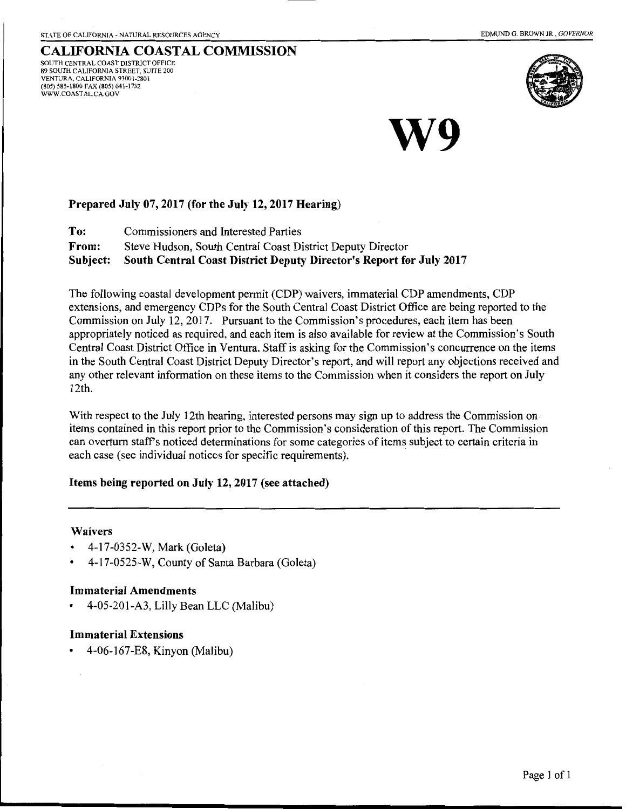#### CALIFORNIA COASTAL COMMISSION SOUTH CENTRAL COAST DISTRICT OFFICE 89 SOUTH CALIFORNIA STREET, SUITE 200 VENTURA, CALIFORNIA 93001-2801 (805) 585-1800 FAX (805) 641-1732 WWW.COASTAL.CA.GOV



W9

### Prepared July 07, 2017 (for the July 12, 2017 Hearing)

To: Commissioners and Interested Parties From: Steve Hudson, South Central Coast District Deputy Director Subject: South Central Coast District Deputy Director's Report for July 2017

The following coastal development permit (CDP) waivers, immaterial CDP amendments, CDP extensions, and emergency CDPs for the South Central Coast District Office are being reported to the Commission on July 12, 2017. Pursuant to the Commission's procedures, each item has been appropriately noticed as required, and each item is also available for review at the Commission's South Central Coast District Office in Ventura. Staff is asking for the Commission's concurrence on the items in the South Central Coast District Deputy Director's report, and will report any objections received and any other relevant information on these items to the Commission when it considers the report on July 12th.

With respect to the July 12th hearing, interested persons may sign up to address the Commission on. items contained in this report prior to the Commission's consideration of this report. The Commission can overturn staffs noticed determinations for some categories of items subject to certain criteria in each case (see individual notices for specific requirements).

### Items being reported on July 12, 2017 (see attached)

### Waivers

- 4-17-0352-W, Mark (Goleta)
- 4-17-0525-W, County of Santa Barbara (Goleta)

### Immaterial Amendments

• 4-05-201-A3, Lilly Bean LLC (Malibu)

### Immaterial Extensions

• 4-06-167-E8, Kinyon (Malibu)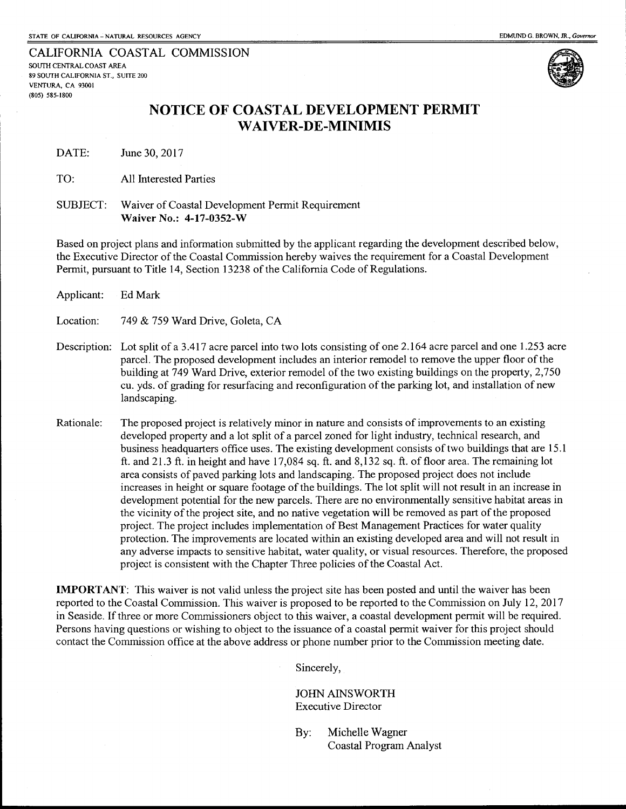CALIFORNIA COASTAL COMMISSION SOUTH CENTRAL COAST AREA 89 SOUTH CALIFORNIA ST., SUITE 200 VENTURA, CA 93001 (805) 585-1800



## **NOTICE OF COASTAL DEVELOPMENT PERMIT WAIVER-DE-MINIMIS**

DATE: June 30,2017

TO: All Interested Parties

SUBJECT: Waiver of Coastal Development Permit Requirement **Waiver** No.: **4-17-0352-W** 

Based on project plans and information submitted by the applicant regarding the development described below, the Executive Director of the Coastal Commission hereby waives the requirement for a Coastal Development Permit, pursuant to Title 14, Section 13238 of the California Code of Regulations.

| Applicant:   | Ed Mark                                                                                                                                                                                                                                                                                                                                                                                                                                                                                                                                                                                                                                                                                                                                                                                                                                                                                                                                                                                                                                                                                                                                                                                                                               |
|--------------|---------------------------------------------------------------------------------------------------------------------------------------------------------------------------------------------------------------------------------------------------------------------------------------------------------------------------------------------------------------------------------------------------------------------------------------------------------------------------------------------------------------------------------------------------------------------------------------------------------------------------------------------------------------------------------------------------------------------------------------------------------------------------------------------------------------------------------------------------------------------------------------------------------------------------------------------------------------------------------------------------------------------------------------------------------------------------------------------------------------------------------------------------------------------------------------------------------------------------------------|
| Location:    | 749 & 759 Ward Drive, Goleta, CA                                                                                                                                                                                                                                                                                                                                                                                                                                                                                                                                                                                                                                                                                                                                                                                                                                                                                                                                                                                                                                                                                                                                                                                                      |
| Description: | Lot split of a 3.417 acre parcel into two lots consisting of one 2.164 acre parcel and one 1.253 acre<br>parcel. The proposed development includes an interior remodel to remove the upper floor of the<br>building at 749 Ward Drive, exterior remodel of the two existing buildings on the property, 2,750<br>cu. yds. of grading for resurfacing and reconfiguration of the parking lot, and installation of new<br>landscaping.                                                                                                                                                                                                                                                                                                                                                                                                                                                                                                                                                                                                                                                                                                                                                                                                   |
| Rationale:   | The proposed project is relatively minor in nature and consists of improvements to an existing<br>developed property and a lot split of a parcel zoned for light industry, technical research, and<br>business headquarters office uses. The existing development consists of two buildings that are 15.1<br>ft. and 21.3 ft. in height and have $17,084$ sq. ft. and $8,132$ sq. ft. of floor area. The remaining lot<br>area consists of paved parking lots and landscaping. The proposed project does not include<br>increases in height or square footage of the buildings. The lot split will not result in an increase in<br>development potential for the new parcels. There are no environmentally sensitive habitat areas in<br>the vicinity of the project site, and no native vegetation will be removed as part of the proposed<br>project. The project includes implementation of Best Management Practices for water quality<br>protection. The improvements are located within an existing developed area and will not result in<br>any adverse impacts to sensitive habitat, water quality, or visual resources. Therefore, the proposed<br>project is consistent with the Chapter Three policies of the Coastal Act. |

**IMPORTANT:** This waiver is not valid unless the project site has been posted and until the waiver has been reported to the Coastal Commission. This waiver is proposed to be reported to the Commission on July 12, 2017 in Seaside. If three or more Commissioners object to this waiver, a coastal development permit will be required. Persons having questions or wishing to object to the issuance of a coastal permit waiver for this project should contact the Commission office at the above address or phone number prior to the Commission meeting date.

Sincerely,

JOHN AINSWORTH Executive Director

By: Michelle Wagner Coastal Program Analyst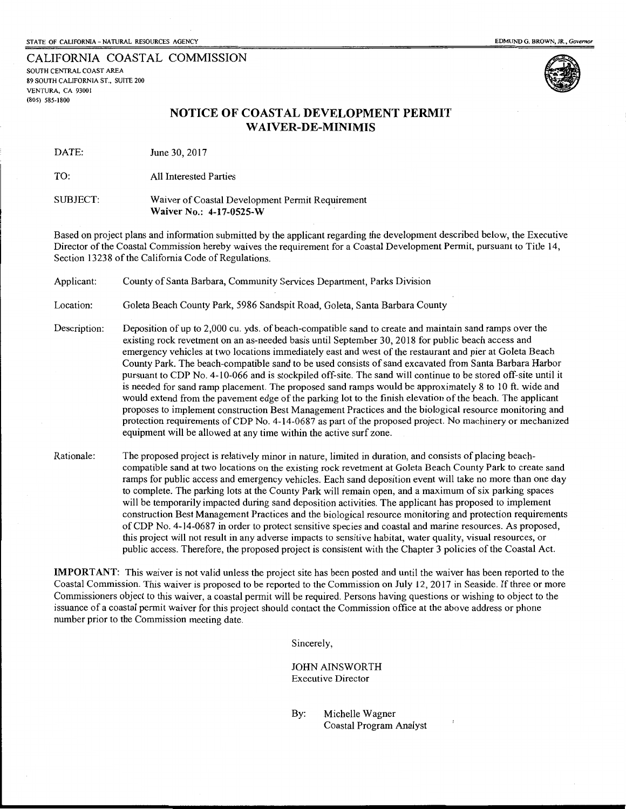CALIFORNIA COASTAL COMMISSION SOUTH CENTRAL COAST AREA 89 SOUTH CALIFORNIA ST., SUITE 200 VENTURA, CA 93001 (805) 585-1800



### **NOTICE OF COASTAL DEVELOPMENT PERMIT WAIVER-DE-MINIMIS**

DATE: June 30, 2017

TO: All Interested Parties

SUBJECT: Waiver of Coastal Development Permit Requirement **Waiver** No.: **4-17-0525-W** 

Based on project plans and information submitted by the applicant regarding the development described below, the Executive Director of the Coastal Commission hereby waives the requirement for a Coastal Development Permit, pursuant to Title 14, Section 13238 of the California Code of Regulations.

Applicant: County of Santa Barbara, Community Services Department, Parks Division

Location: Goleta Beach County Park, 5986 Sandspit Road, Goleta, Santa Barbara County

- Description: Deposition of up to 2,000 cu. yds. of beach-compatible sand to create and maintain sand ramps over the existing rock revetment on an as-needed basis until September 30, 2018 for public beach access and emergency vehicles at two locations immediately east and west of the restaurant and pier at Goleta Beach County Park. The beach-compatible sand to be used consists of sand excavated from Santa Barbara Harbor pursuant to CDP No. 4-10-066 and is stockpiled off-site. The sand will continue to be stored off-site until it is needed for sand ramp placement. The proposed sand ramps would be approximately 8 to 10 ft. wide and would extend from the pavement edge of the parking lot to the finish elevation of the beach. The applicant proposes to implement construction Best Management Practices and the biological resource monitoring and protection requirements of CDP No. 4-14-0687 as part of the proposed project. No machinery or mechanized equipment will be allowed at any time within the active surf zone.
- Rationale: The proposed project is relatively minor in nature, limited in duration, and consists of placing beachcompatible sand at two locations on the existing rock revetment at Goleta Beach County Park to create sand ramps for public access and emergency vehicles. Each sand deposition event will take no more than one day to complete. The parking lots at the County Park will remain open, and a maximum of six parking spaces will be temporarily impacted during sand deposition activities. The applicant has proposed to implement construction Best Management Practices and the biological resource monitoring and protection requirements ofCDP No. 4-14-0687 in order to protect sensitive species and coastal and marine resources. As proposed, this project will not result in any adverse impacts to sensitive habitat, water quality, visual resources, or public access. Therefore, the proposed project is consistent with the Chapter 3 policies of the Coastal Act.

**IMPORTANT:** This waiver is not valid unless the project site has been posted and until the waiver has been reported to the Coastal Commission. This waiver is proposed to be reported to the Commission on July 12, 2017 in Seaside. If three or more Commissioners object to this waiver, a coastal permit will be required. Persons having questions or wishing to object to the issuance of a coastal permit waiver for this project should contact the Commission office at the above address or phone number prior to the Commission meeting date.

Sincerely,

JOHN AINSWORTH Executive Director

By: Michelle Wagner Coastal Program Analyst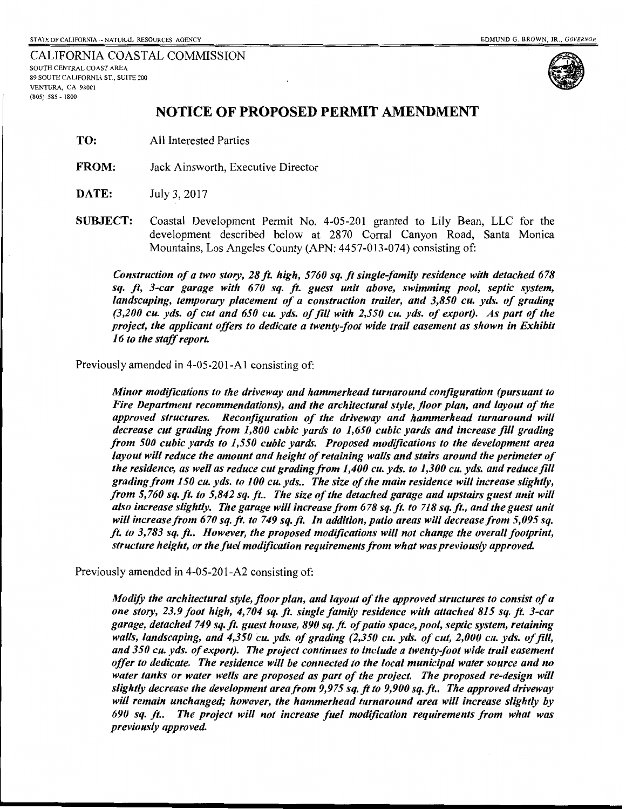CALIFORNIA COASTAL COMMISSION SOUTH CENTRAL COAST AREA 89 SOUTH CALIFORNIA ST., SUITE 200 VENTURA, CA 93001 (805) 585 - 1800



### **NOTICE OF PROPOSED PERMIT AMENDMENT**

- TO: All Interested Parties
- FROM: Jack Ainsworth, Executive Director
- **DATE:** July 3, 2017
- SUBJECT: Coastal Development Permit No. 4-05-201 granted to Lily Bean, LLC for the development described below at 2870 Corral Canyon Road, Santa Monica Mountains, Los Angeles County (APN: 4457-013-074) consisting of:

*Construction of a two story, 28ft high, 5760 sq. ft single-family residence with detached 678 sq. ft, 3-car garage with 670 sq. ft. guest unit above, swimming pool, septic system,*  landscaping, temporary placement of a construction trailer, and 3,850 cu. yds. of grading *(3,200 cu. yds. of cut and 650 cu. yds. of fill with 2,550 cu. yds. of export). As part of the project, the applicant offers to dedicate a twenty-foot wide trail easement as shown in Exhibit 16 to the staff report.* 

Previously amended in 4-05-201-Al consisting of:

*Minor modifications to the driveway and hammerhead turnaround configuration (pursuant to Fire Department recommendations), and the architectural style, floor plan, and layout of the approved structures. Reconfiguration of the driveway and hammerhead turnaround will decrease cut grading from 1,800 cubic yards to 1,650 cubic yards and increase fill grading from 500 cubic yards to 1,550 cubic yards. Proposed modifications to the development area layout will reduce the amount and height of retaining walls and stairs around the perimeter of the residence, as well as reduce cut grading from 1,400 cu. yds. to 1,300 cu. yds. and reduce fill grading from 150 cu. yds. to 100 cu. yds .. The size of the main residence will increase slightly, from 5, 760 sq. ft. to 5,842 sq. ft.. The size of the detached garage and upstairs guest unit will also increase slightly. The garage will increase from 678 sq. ft. to 718 sq. ft., and the guest unit will increase from 670 sq. ft. to 749 sq. ft. In addition, patio areas will decrease from 5,095 sq. ft. to 3, 783 sq. ft.. However, the proposed modifications will not change the overall footprint, structure height, or the fuel modification requirements from what was previously approved.* 

Previously amended in 4-05-201-A2 consisting of:

*ModifY the architectural style, floor plan, and layout of the approved structures to consist of a one story, 23.9 foot high, 4, 704 sq. ft. single family residence with attached 815 sq. ft. 3-car garage, detached 749 sq. ft guest house, 890 sq. ft. of patio space, pool, septic system, retaining walls, landscaping, and 4,350 cu. yds. of grading (2,350 cu. yds. of cut, 2,000 cu. yds. of fill, and 350 cu. yds. of export). The project continues to include a twenty-foot wide trail easement offer to dedicate. The residence will be connected to the local municipal water source and no*  water tanks or water wells are proposed as part of the project. The proposed re-design will *slightly decrease the development area from 9,975 sq.ft to 9,900 sq. ft .. The approved driveway will remain unchanged; however, the hammerhead turnaround area will increase slightly by 690 sq. ft.. The project will not increase fuel modification requirements from what was previously approved.*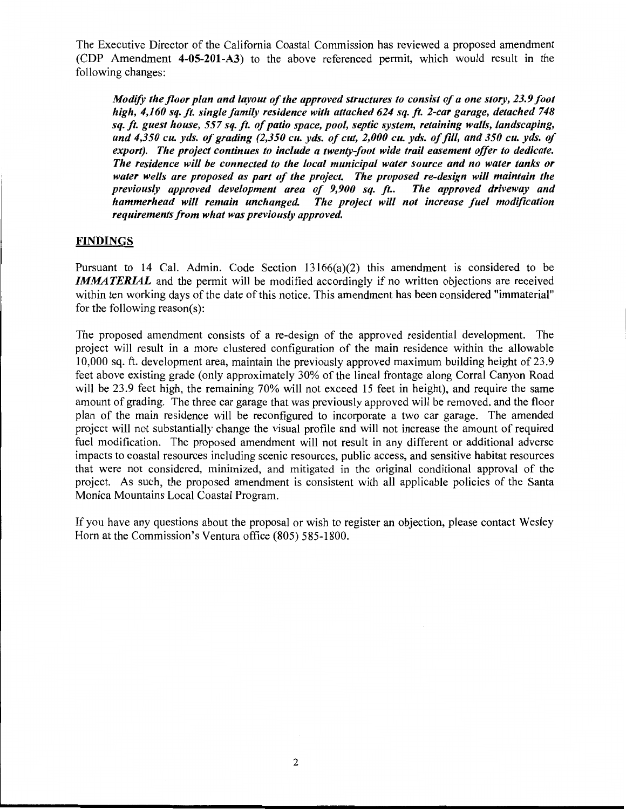The Executive Director of the California Coastal Commission has reviewed a proposed amendment (CDP Amendment 4-05-201-A3) to the above referenced permit, which would result in the following changes:

*Modify the floor plan and layout of the approved structures to consist of a one story, 23.9 foot high, 4,160 sq. ft. single family residence with attached 624 sq.* ft. *2-car garage, detached 748 sq. ft. guest house, 557 sq. ft. of patio space, pool, septic system, retaining walls, landscaping, and 4,350 cu. yds. of grading (2,350 cu. yds. of cut, 2,000 cu. yds. of fill, and 350 cu. yds. of export). The project continues to include a twenty-foot wide trail easement offer to dedicate. The residence will be connected to the local municipal water source and no water tanks or water wells are proposed as part of the project. The proposed re-design will maintain the previously approved development area of 9,900 sq. ft.. hammerhead will remain unchanged. The project will not increase fuel modification requirements from what was previously approved.* 

#### **FINDINGS**

Pursuant to 14 Cal. Admin. Code Section  $13166(a)(2)$  this amendment is considered to be **IMMATERIAL** and the permit will be modified accordingly if no written objections are received within ten working days of the date of this notice. This amendment has been considered "immaterial" for the following reason(s):

The proposed amendment consists of a re-design of the approved residential development. The project will result in a more clustered configuration of the main residence within the allowable 10,000 sq. ft. development area, maintain the previously approved maximum building height of 23.9 feet above existing grade (only approximately 30% of the lineal frontage along Corral Canyon Road will be 23.9 feet high, the remaining 70% will not exceed 15 feet in height), and require the same amount of grading. The three car garage that was previously approved will be removed, and the floor plan of the main residence will be reconfigured to incorporate a two car garage. The amended project will not substantially change the visual profile and will not increase the amount of required fuel modification. The proposed amendment will not result in any different or additional adverse impacts to coastal resources including scenic resources, public access, and sensitive habitat resources that were not considered, minimized, and mitigated in the original conditional approval of the project. As such, the proposed amendment is consistent with all applicable policies of the Santa Monica Mountains Local Coastal Program.

If you have any questions about the proposal or wish to register an objection, please contact Wesley Horn at the Commission's Ventura office (805) 585-1800.